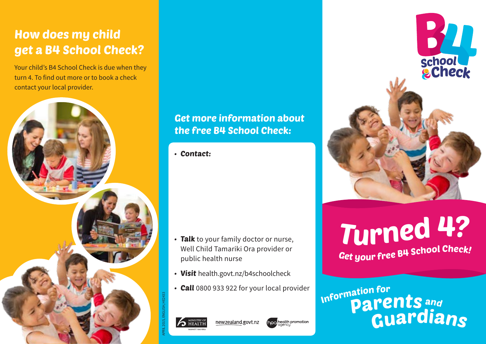# How does my child get a B4 School Check?

Your child's B4 School Check is due when they turn 4. To find out more or to book a check contact your local provider.



### Get more information about the free B4 School Check:

• Contact:

- Talk to your family doctor or nurse, Well Child Tamariki Ora provider or public health nurse
- Visit health.govt.nz/b4schoolcheck
- **Call** 0800 933 922 for your local provider



APRIL 2015, ENGLISH, HE2433







Get your free B4 School Check! Turned <sup>4</sup>?

Guardian<sup>s</sup> **Information for** Parent<sup>s</sup> <sup>a</sup>n<sup>d</sup>